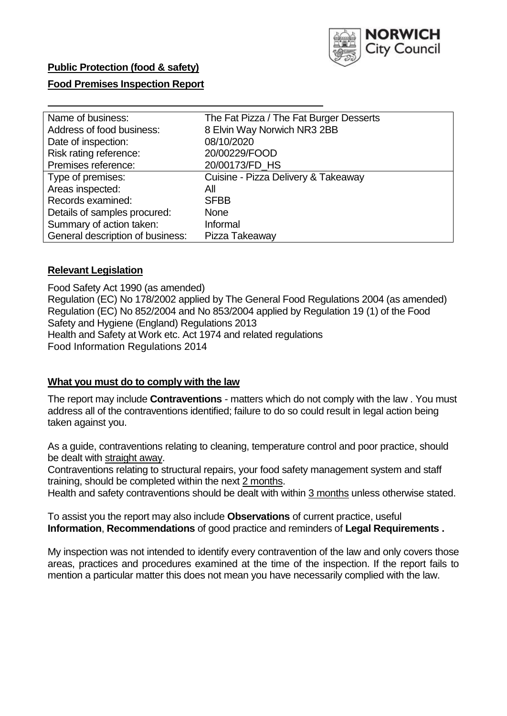

# **Public Protection (food & safety)**

## **Food Premises Inspection Report**

| Name of business:                | The Fat Pizza / The Fat Burger Desserts |
|----------------------------------|-----------------------------------------|
| Address of food business:        | 8 Elvin Way Norwich NR3 2BB             |
| Date of inspection:              | 08/10/2020                              |
| Risk rating reference:           | 20/00229/FOOD                           |
| Premises reference:              | 20/00173/FD HS                          |
| Type of premises:                | Cuisine - Pizza Delivery & Takeaway     |
| Areas inspected:                 | All                                     |
| Records examined:                | <b>SFBB</b>                             |
| Details of samples procured:     | <b>None</b>                             |
| Summary of action taken:         | Informal                                |
| General description of business: | Pizza Takeaway                          |

## **Relevant Legislation**

 Food Safety Act 1990 (as amended) Regulation (EC) No 178/2002 applied by The General Food Regulations 2004 (as amended) Regulation (EC) No 852/2004 and No 853/2004 applied by Regulation 19 (1) of the Food Safety and Hygiene (England) Regulations 2013 Health and Safety at Work etc. Act 1974 and related regulations Food Information Regulations 2014

### **What you must do to comply with the law**

 The report may include **Contraventions** - matters which do not comply with the law . You must address all of the contraventions identified; failure to do so could result in legal action being taken against you.

 As a guide, contraventions relating to cleaning, temperature control and poor practice, should be dealt with straight away.

 Contraventions relating to structural repairs, your food safety management system and staff training, should be completed within the next 2 months.

Health and safety contraventions should be dealt with within 3 months unless otherwise stated.

 To assist you the report may also include **Observations** of current practice, useful **Information**, **Recommendations** of good practice and reminders of **Legal Requirements .** 

 My inspection was not intended to identify every contravention of the law and only covers those areas, practices and procedures examined at the time of the inspection. If the report fails to mention a particular matter this does not mean you have necessarily complied with the law.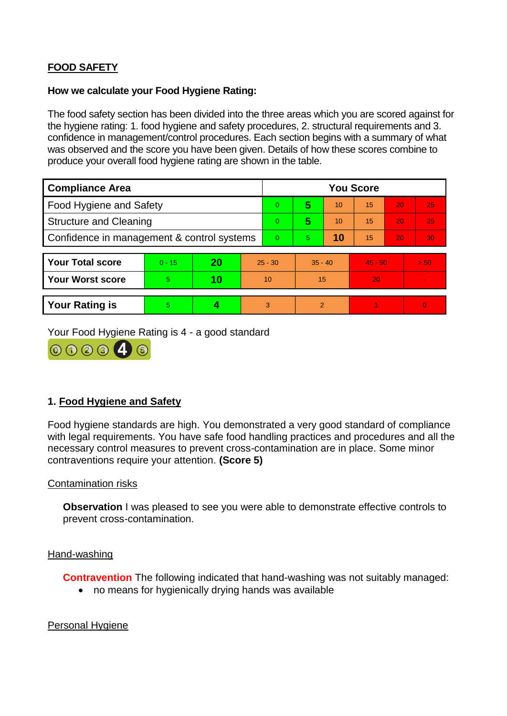# **FOOD SAFETY**

## **How we calculate your Food Hygiene Rating:**

 The food safety section has been divided into the three areas which you are scored against for the hygiene rating: 1. food hygiene and safety procedures, 2. structural requirements and 3. confidence in management/control procedures. Each section begins with a summary of what was observed and the score you have been given. Details of how these scores combine to produce your overall food hygiene rating are shown in the table.

| <b>Compliance Area</b>                     |          |    |           | <b>You Score</b> |                |    |           |    |                |  |  |
|--------------------------------------------|----------|----|-----------|------------------|----------------|----|-----------|----|----------------|--|--|
| Food Hygiene and Safety                    |          |    |           | $\overline{0}$   | 5              | 10 | 15        | 20 | 25             |  |  |
| <b>Structure and Cleaning</b>              |          |    | $\Omega$  | 5                | 10             | 15 | 20        | 25 |                |  |  |
| Confidence in management & control systems |          |    | $\Omega$  | 5                | 10             | 15 | 20        | 30 |                |  |  |
|                                            |          |    |           |                  |                |    |           |    |                |  |  |
| <b>Your Total score</b>                    | $0 - 15$ | 20 | $25 - 30$ |                  | $35 - 40$      |    | $45 - 50$ |    | > 50           |  |  |
| <b>Your Worst score</b>                    | 5        | 10 | 10        |                  | 15             |    | 20        |    | $\blacksquare$ |  |  |
|                                            |          |    |           |                  |                |    |           |    |                |  |  |
| <b>Your Rating is</b>                      | 5        |    |           | 3                | $\overline{2}$ |    |           |    | $\Omega$       |  |  |

Your Food Hygiene Rating is 4 - a good standard



# **1. Food Hygiene and Safety**

 with legal requirements. You have safe food handling practices and procedures and all the Food hygiene standards are high. You demonstrated a very good standard of compliance necessary control measures to prevent cross-contamination are in place. Some minor contraventions require your attention. **(Score 5)** 

#### Contamination risks

**Observation** I was pleased to see you were able to demonstrate effective controls to prevent cross-contamination.

#### Hand-washing

**Contravention** The following indicated that hand-washing was not suitably managed:

no means for hygienically drying hands was available

#### Personal Hygiene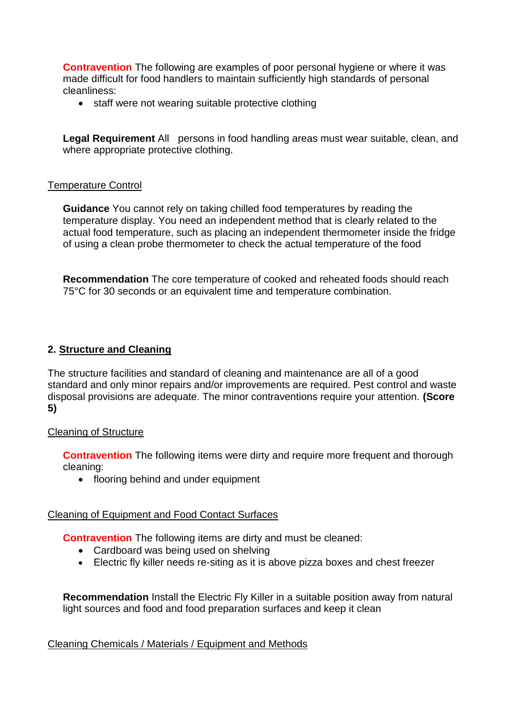made difficult for food handlers to maintain sufficiently high standards of personal **Contravention** The following are examples of poor personal hygiene or where it was cleanliness:

• staff were not wearing suitable protective clothing

 **Legal Requirement** All persons in food handling areas must wear suitable, clean, and where appropriate protective clothing.

## Temperature Control

 temperature display. You need an independent method that is clearly related to the actual food temperature, such as placing an independent thermometer inside the fridge of using a clean probe thermometer to check the actual temperature of the food **Guidance** You cannot rely on taking chilled food temperatures by reading the

**Recommendation** The core temperature of cooked and reheated foods should reach 75°C for 30 seconds or an equivalent time and temperature combination.

## **2. Structure and Cleaning**

The structure facilities and standard of cleaning and maintenance are all of a good standard and only minor repairs and/or improvements are required. Pest control and waste disposal provisions are adequate. The minor contraventions require your attention. **(Score 5)** 

#### Cleaning of Structure

**Contravention** The following items were dirty and require more frequent and thorough cleaning:

• flooring behind and under equipment

#### Cleaning of Equipment and Food Contact Surfaces

**Contravention** The following items are dirty and must be cleaned:

- Cardboard was being used on shelving
- Electric fly killer needs re-siting as it is above pizza boxes and chest freezer

 light sources and food and food preparation surfaces and keep it clean **Recommendation** Install the Electric Fly Killer in a suitable position away from natural

## Cleaning Chemicals / Materials / Equipment and Methods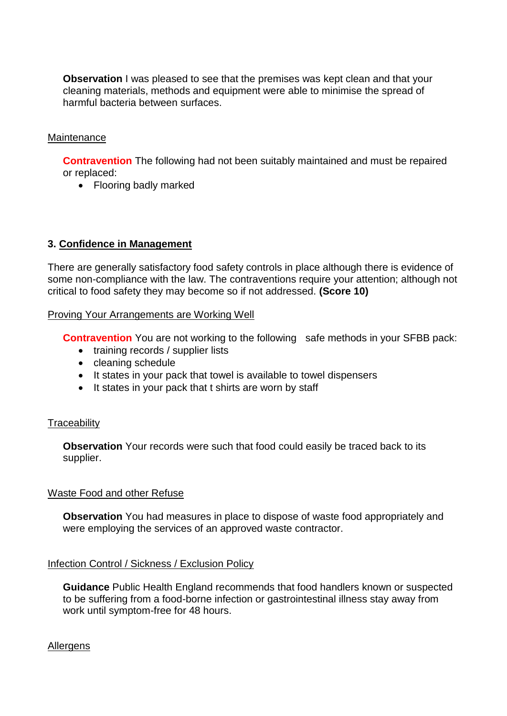cleaning materials, methods and equipment were able to minimise the spread of **Observation** I was pleased to see that the premises was kept clean and that your harmful bacteria between surfaces.

## **Maintenance**

**Contravention** The following had not been suitably maintained and must be repaired or replaced:

• Flooring badly marked

### **3. Confidence in Management**

There are generally satisfactory food safety controls in place although there is evidence of some non-compliance with the law. The contraventions require your attention; although not critical to food safety they may become so if not addressed. **(Score 10)** 

#### Proving Your Arrangements are Working Well

**Contravention** You are not working to the following safe methods in your SFBB pack:

- training records / supplier lists
- cleaning schedule
- It states in your pack that towel is available to towel dispensers
- It states in your pack that t shirts are worn by staff

#### **Traceability**

**Observation** Your records were such that food could easily be traced back to its supplier.

#### Waste Food and other Refuse

 **Observation** You had measures in place to dispose of waste food appropriately and were employing the services of an approved waste contractor.

#### Infection Control / Sickness / Exclusion Policy

 **Guidance** Public Health England recommends that food handlers known or suspected to be suffering from a food-borne infection or gastrointestinal illness stay away from work until symptom-free for 48 hours.

#### Allergens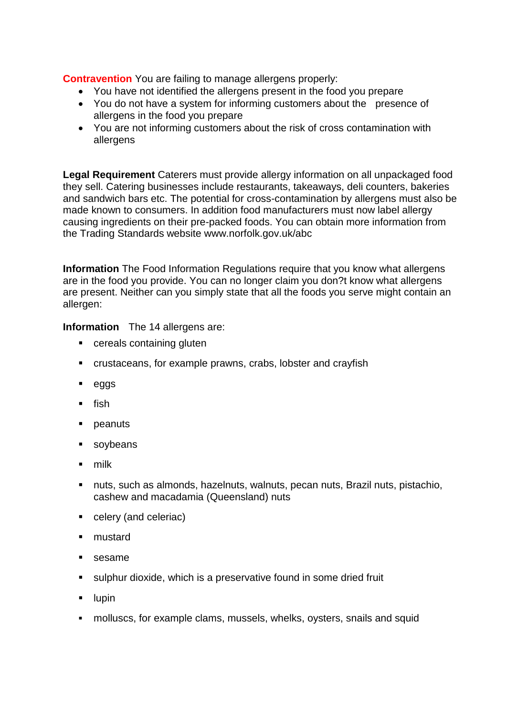**Contravention** You are failing to manage allergens properly:

- You have not identified the allergens present in the food you prepare
- You do not have a system for informing customers about the presence of allergens in the food you prepare
- You are not informing customers about the risk of cross contamination with allergens

 **Legal Requirement** Caterers must provide allergy information on all unpackaged food and sandwich bars etc. The potential for cross-contamination by allergens must also be made known to consumers. In addition food manufacturers must now label allergy causing ingredients on their pre-packed foods. You can obtain more information from they sell. Catering businesses include restaurants, takeaways, deli counters, bakeries the Trading Standards website <www.norfolk.gov.uk/abc>

**Information** The Food Information Regulations require that you know what allergens are in the food you provide. You can no longer claim you don?t know what allergens are present. Neither can you simply state that all the foods you serve might contain an allergen:

# **Information** The 14 allergens are:

- cereals containing gluten
- crustaceans, for example prawns, crabs, lobster and crayfish
- eggs
- fish
- **peanuts**
- soybeans
- milk
- nuts, such as almonds, hazelnuts, walnuts, pecan nuts, Brazil nuts, pistachio, cashew and macadamia (Queensland) nuts
- celery (and celeriac)
- mustard
- sesame
- sulphur dioxide, which is a preservative found in some dried fruit
- $\blacksquare$  lupin
- molluscs, for example clams, mussels, whelks, oysters, snails and squid